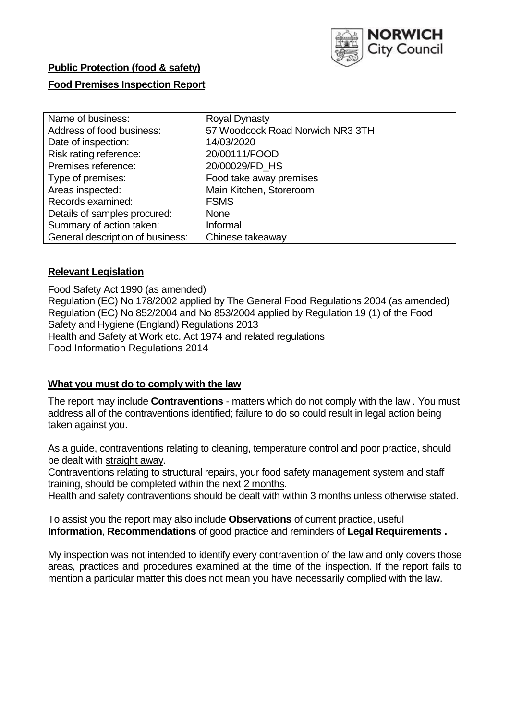

# **Public Protection (food & safety) Food Premises Inspection Report**

| Name of business:                | <b>Royal Dynasty</b>             |
|----------------------------------|----------------------------------|
| Address of food business:        | 57 Woodcock Road Norwich NR3 3TH |
| Date of inspection:              | 14/03/2020                       |
| Risk rating reference:           | 20/00111/FOOD                    |
| Premises reference:              | 20/00029/FD_HS                   |
| Type of premises:                | Food take away premises          |
| Areas inspected:                 | Main Kitchen, Storeroom          |
| Records examined:                | <b>FSMS</b>                      |
| Details of samples procured:     | None                             |
| Summary of action taken:         | Informal                         |
| General description of business: | Chinese takeaway                 |

## **Relevant Legislation**

Food Safety Act 1990 (as amended) Regulation (EC) No 178/2002 applied by The General Food Regulations 2004 (as amended) Regulation (EC) No 852/2004 and No 853/2004 applied by Regulation 19 (1) of the Food Safety and Hygiene (England) Regulations 2013 Health and Safety at Work etc. Act 1974 and related regulations Food Information Regulations 2014

## **What you must do to comply with the law**

The report may include **Contraventions** - matters which do not comply with the law . You must address all of the contraventions identified; failure to do so could result in legal action being taken against you.

As a guide, contraventions relating to cleaning, temperature control and poor practice, should be dealt with straight away.

Contraventions relating to structural repairs, your food safety management system and staff training, should be completed within the next 2 months.

Health and safety contraventions should be dealt with within 3 months unless otherwise stated.

To assist you the report may also include **Observations** of current practice, useful **Information**, **Recommendations** of good practice and reminders of **Legal Requirements .**

My inspection was not intended to identify every contravention of the law and only covers those areas, practices and procedures examined at the time of the inspection. If the report fails to mention a particular matter this does not mean you have necessarily complied with the law.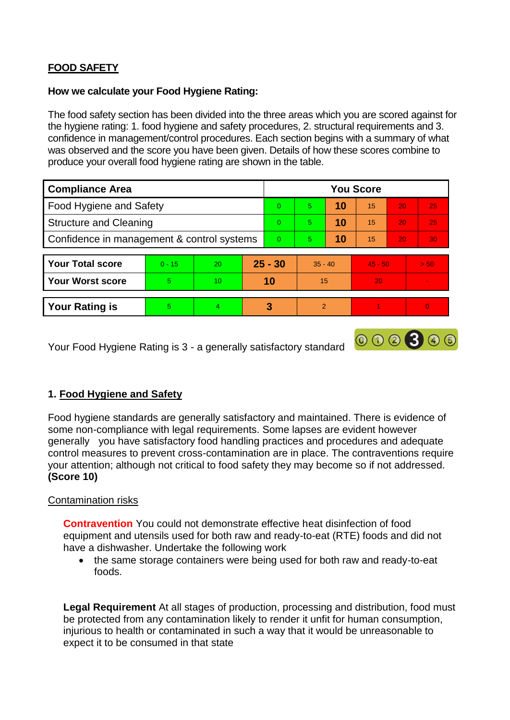## **FOOD SAFETY**

#### **How we calculate your Food Hygiene Rating:**

The food safety section has been divided into the three areas which you are scored against for the hygiene rating: 1. food hygiene and safety procedures, 2. structural requirements and 3. confidence in management/control procedures. Each section begins with a summary of what was observed and the score you have been given. Details of how these scores combine to produce your overall food hygiene rating are shown in the table.

| <b>Compliance Area</b>                     |          |    |          | <b>You Score</b> |                |    |           |                 |          |  |  |
|--------------------------------------------|----------|----|----------|------------------|----------------|----|-----------|-----------------|----------|--|--|
| Food Hygiene and Safety                    |          |    |          | $\Omega$         | 5              | 10 | 15        | 20              | 25       |  |  |
| <b>Structure and Cleaning</b>              |          |    | $\Omega$ | 5                | 10             | 15 | 20        | 25              |          |  |  |
| Confidence in management & control systems |          |    | $\Omega$ | 5                | 10             | 15 | 20        | 30 <sub>1</sub> |          |  |  |
|                                            |          |    |          |                  |                |    |           |                 |          |  |  |
| <b>Your Total score</b>                    | $0 - 15$ | 20 |          | $25 - 30$        | $35 - 40$      |    | $45 - 50$ |                 | > 50     |  |  |
| <b>Your Worst score</b>                    | 5        | 10 |          | 10               | 15             |    | 20        |                 |          |  |  |
|                                            |          |    |          |                  |                |    |           |                 |          |  |  |
| <b>Your Rating is</b>                      | 5.       | 4  |          | 3                | $\overline{2}$ |    |           |                 | $\Omega$ |  |  |

Your Food Hygiene Rating is 3 - a generally satisfactory standard

## **1. Food Hygiene and Safety**

Food hygiene standards are generally satisfactory and maintained. There is evidence of some non-compliance with legal requirements. Some lapses are evident however generally you have satisfactory food handling practices and procedures and adequate control measures to prevent cross-contamination are in place. The contraventions require your attention; although not critical to food safety they may become so if not addressed. **(Score 10)**

000300

## Contamination risks

**Contravention** You could not demonstrate effective heat disinfection of food equipment and utensils used for both raw and ready-to-eat (RTE) foods and did not have a dishwasher. Undertake the following work

• the same storage containers were being used for both raw and ready-to-eat foods.

**Legal Requirement** At all stages of production, processing and distribution, food must be protected from any contamination likely to render it unfit for human consumption, injurious to health or contaminated in such a way that it would be unreasonable to expect it to be consumed in that state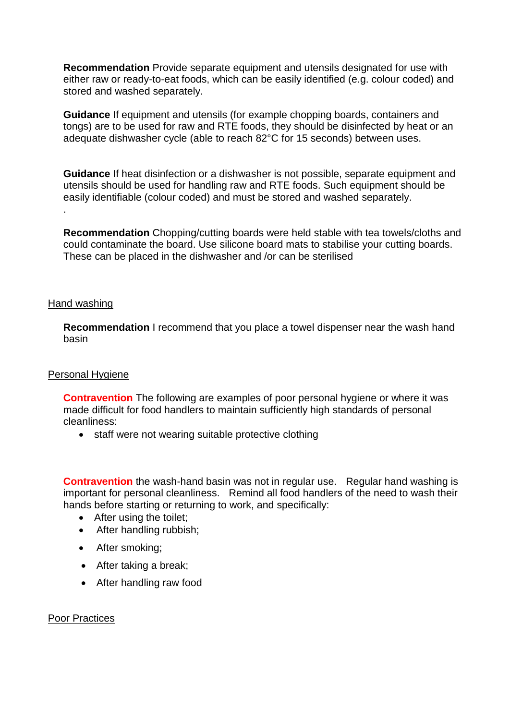**Recommendation** Provide separate equipment and utensils designated for use with either raw or ready-to-eat foods, which can be easily identified (e.g. colour coded) and stored and washed separately.

**Guidance** If equipment and utensils (for example chopping boards, containers and tongs) are to be used for raw and RTE foods, they should be disinfected by heat or an adequate dishwasher cycle (able to reach 82°C for 15 seconds) between uses.

**Guidance** If heat disinfection or a dishwasher is not possible, separate equipment and utensils should be used for handling raw and RTE foods. Such equipment should be easily identifiable (colour coded) and must be stored and washed separately.

**Recommendation** Chopping/cutting boards were held stable with tea towels/cloths and could contaminate the board. Use silicone board mats to stabilise your cutting boards. These can be placed in the dishwasher and /or can be sterilised

## Hand washing

.

**Recommendation** I recommend that you place a towel dispenser near the wash hand basin

## Personal Hygiene

**Contravention** The following are examples of poor personal hygiene or where it was made difficult for food handlers to maintain sufficiently high standards of personal cleanliness:

• staff were not wearing suitable protective clothing

**Contravention** the wash-hand basin was not in regular use. Regular hand washing is important for personal cleanliness. Remind all food handlers of the need to wash their hands before starting or returning to work, and specifically:

- After using the toilet;
- After handling rubbish;
- After smoking;
- After taking a break;
- After handling raw food

## Poor Practices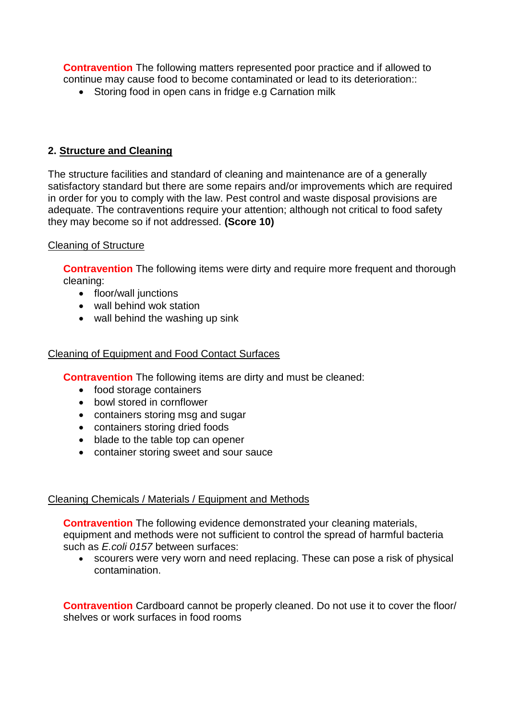**Contravention** The following matters represented poor practice and if allowed to continue may cause food to become contaminated or lead to its deterioration::

• Storing food in open cans in fridge e.g Carnation milk

## **2. Structure and Cleaning**

The structure facilities and standard of cleaning and maintenance are of a generally satisfactory standard but there are some repairs and/or improvements which are required in order for you to comply with the law. Pest control and waste disposal provisions are adequate. The contraventions require your attention; although not critical to food safety they may become so if not addressed. **(Score 10)**

## Cleaning of Structure

**Contravention** The following items were dirty and require more frequent and thorough cleaning:

- floor/wall junctions
- wall behind wok station
- wall behind the washing up sink

#### Cleaning of Equipment and Food Contact Surfaces

**Contravention** The following items are dirty and must be cleaned:

- food storage containers
- bowl stored in cornflower
- containers storing msg and sugar
- containers storing dried foods
- blade to the table top can opener
- container storing sweet and sour sauce

## Cleaning Chemicals / Materials / Equipment and Methods

**Contravention** The following evidence demonstrated your cleaning materials, equipment and methods were not sufficient to control the spread of harmful bacteria such as *E.coli 0157* between surfaces:

 scourers were very worn and need replacing. These can pose a risk of physical contamination.

**Contravention** Cardboard cannot be properly cleaned. Do not use it to cover the floor/ shelves or work surfaces in food rooms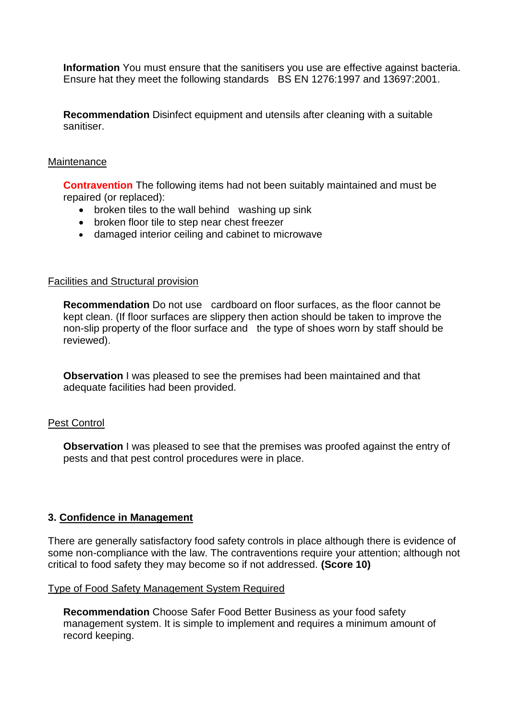**Information** You must ensure that the sanitisers you use are effective against bacteria. Ensure hat they meet the following standards BS EN 1276:1997 and 13697:2001.

**Recommendation** Disinfect equipment and utensils after cleaning with a suitable sanitiser.

#### **Maintenance**

**Contravention** The following items had not been suitably maintained and must be repaired (or replaced):

- broken tiles to the wall behind washing up sink
- broken floor tile to step near chest freezer
- damaged interior ceiling and cabinet to microwave

#### Facilities and Structural provision

**Recommendation** Do not use cardboard on floor surfaces, as the floor cannot be kept clean. (If floor surfaces are slippery then action should be taken to improve the non-slip property of the floor surface and the type of shoes worn by staff should be reviewed).

**Observation** I was pleased to see the premises had been maintained and that adequate facilities had been provided.

## Pest Control

**Observation** I was pleased to see that the premises was proofed against the entry of pests and that pest control procedures were in place.

## **3. Confidence in Management**

There are generally satisfactory food safety controls in place although there is evidence of some non-compliance with the law. The contraventions require your attention; although not critical to food safety they may become so if not addressed. **(Score 10)**

#### Type of Food Safety Management System Required

**Recommendation** Choose Safer Food Better Business as your food safety management system. It is simple to implement and requires a minimum amount of record keeping.